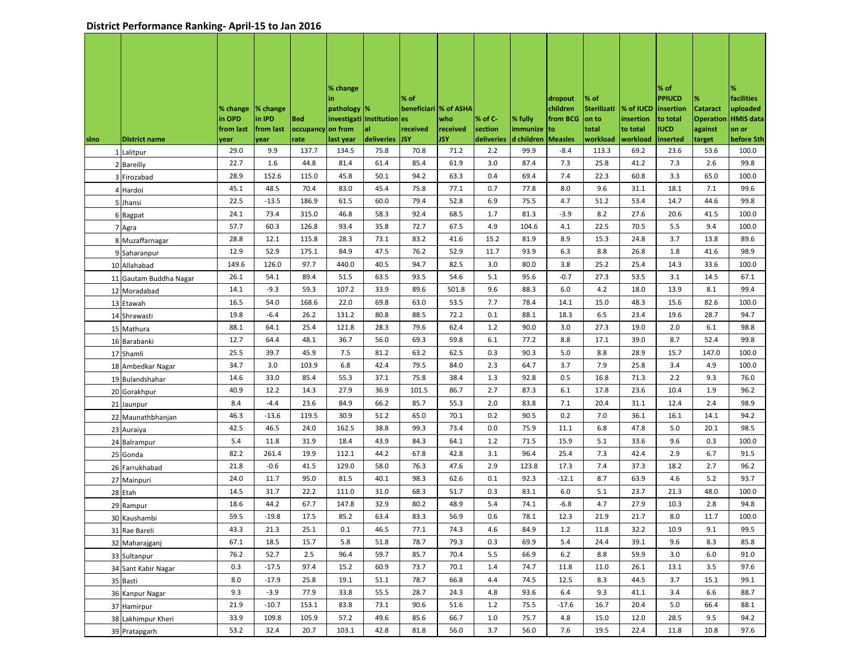|      |                        |           |           |            | % change                     |                | % of                   |            |            |            |                     |                            |           | % of<br><b>PPIUCD</b> | %                | %<br>facilities  |
|------|------------------------|-----------|-----------|------------|------------------------------|----------------|------------------------|------------|------------|------------|---------------------|----------------------------|-----------|-----------------------|------------------|------------------|
|      |                        | % change  | % change  |            | in<br>pathology  %           |                | beneficiari  % of ASHA |            |            |            | dropout<br>children | % of<br><b>Sterilizati</b> | % of IUCD | insertion             | <b>Cataract</b>  | uploaded         |
|      |                        | in OPD    | in IPD    | <b>Bed</b> | investigati   Institution es |                |                        | who        | % of C-    | % fully    | from BCG            | on to                      | insertion | to total              | <b>Operation</b> | <b>HMIS data</b> |
|      |                        | from last | from last | occupancy  | on from                      | al             | received               | received   | section    | immunize   | to                  | total                      | to total  | IUCD                  | against          | on or            |
| sino | <b>District name</b>   | year      | year      | rate       | last year                    | deliveries JSY |                        | <b>JSY</b> | deliveries | d children | <b>Measles</b>      | workload                   | workload  | inserted              | target           | before 5th       |
| 1    | Lalitpur               | 29.0      | 9.9       | 137.7      | 134.5                        | 75.8           | 70.8                   | 71.2       | 2.2        | 99.9       | $-8.4$              | 113.3                      | 69.2      | 23.6                  | 53.6             | 100.0            |
|      | 2 Bareilly             | 22.7      | 1.6       | 44.8       | 81.4                         | 61.4           | 85.4                   | 61.9       | 3.0        | 87.4       | 7.3                 | 25.8                       | 41.2      | 7.3                   | 2.6              | 99.8             |
| 3    | Firozabad              | 28.9      | 152.6     | 115.0      | 45.8                         | 50.1           | 94.2                   | 63.3       | 0.4        | 69.4       | 7.4                 | 22.3                       | 60.8      | 3.3                   | 65.0             | 100.0            |
|      | 4 Hardoi               | 45.1      | 48.5      | 70.4       | 83.0                         | 45.4           | 75.8                   | 77.1       | 0.7        | 77.8       | 8.0                 | 9.6                        | 31.1      | 18.1                  | 7.1              | 99.6             |
|      | 5 Jhansi               | 22.5      | $-13.5$   | 186.9      | 61.5                         | 60.0           | 79.4                   | 52.8       | 6.9        | 75.5       | 4.7                 | 51.2                       | 53.4      | 14.7                  | 44.6             | 99.8             |
|      | 6 Bagpat               | 24.1      | 73.4      | 315.0      | 46.8                         | 58.3           | 92.4                   | 68.5       | 1.7        | 81.3       | $-3.9$              | 8.2                        | 27.6      | 20.6                  | 41.5             | 100.0            |
|      | 7 Agra                 | 57.7      | 60.3      | 126.8      | 93.4                         | 35.8           | 72.7                   | 67.5       | 4.9        | 104.6      | 4.1                 | 22.5                       | 70.5      | 5.5                   | 9.4              | 100.0            |
|      | 8 Muzaffarnagar        | 28.8      | 12.1      | 115.8      | 28.3                         | 73.1           | 83.2                   | 41.6       | 15.2       | 81.9       | 8.9                 | 15.3                       | 24.8      | 3.7                   | 13.8             | 89.6             |
|      | 9 Saharanpur           | 12.9      | 52.9      | 175.1      | 84.9                         | 47.5           | 76.2                   | 52.9       | 11.7       | 93.9       | 6.3                 | 8.8                        | 26.8      | 1.8                   | 41.6             | 98.9             |
|      | 10 Allahabad           | 149.6     | 126.0     | 97.7       | 440.0                        | 40.5           | 94.7                   | 82.5       | 3.0        | 80.0       | 3.8                 | 25.2                       | 25.4      | 14.3                  | 33.6             | 100.0            |
|      | 11 Gautam Buddha Nagar | 26.1      | 54.1      | 89.4       | 51.5                         | 63.5           | 93.5                   | 54.6       | 5.1        | 95.6       | $-0.7$              | 27.3                       | 53.5      | 3.1                   | 14.5             | 67.1             |
|      | 12 Moradabad           | 14.1      | $-9.3$    | 59.3       | 107.2                        | 33.9           | 89.6                   | 501.8      | 9.6        | 88.3       | 6.0                 | 4.2                        | 18.0      | 13.9                  | 8.1              | 99.4             |
|      | 13 Etawah              | 16.5      | 54.0      | 168.6      | 22.0                         | 69.8           | 63.0                   | 53.5       | 7.7        | 78.4       | 14.1                | 15.0                       | 48.3      | 15.6                  | 82.6             | 100.0            |
|      | 14 Shrawasti           | 19.8      | $-6.4$    | 26.2       | 131.2                        | 80.8           | 88.5                   | 72.2       | 0.1        | 88.1       | 18.3                | 6.5                        | 23.4      | 19.6                  | 28.7             | 94.7             |
|      | 15 Mathura             | 88.1      | 64.1      | 25.4       | 121.8                        | 28.3           | 79.6                   | 62.4       | 1.2        | 90.0       | 3.0                 | 27.3                       | 19.0      | 2.0                   | 6.1              | 98.8             |
|      | 16 Barabanki           | 12.7      | 64.4      | 48.1       | 36.7                         | 56.0           | 69.3                   | 59.8       | 6.1        | 77.2       | 8.8                 | 17.1                       | 39.0      | 8.7                   | 52.4             | 99.8             |
|      | 17 Shamli              | 25.5      | 39.7      | 45.9       | 7.5                          | 81.2           | 63.2                   | 62.5       | 0.3        | 90.3       | 5.0                 | 8.8                        | 28.9      | 15.7                  | 147.0            | 100.0            |
|      | 18 Ambedkar Nagar      | 34.7      | 3.0       | 103.9      | 6.8                          | 42.4           | 79.5                   | 84.0       | 2.3        | 64.7       | 3.7                 | 7.9                        | 25.8      | 3.4                   | 4.9              | 100.0            |
|      | 19 Bulandshahar        | 14.6      | 33.0      | 85.4       | 55.3                         | 37.1           | 75.8                   | 38.4       | 1.3        | 92.8       | 0.5                 | 16.8                       | 71.3      | 2.2                   | 9.3              | 76.0             |
|      | 20 Gorakhpur           | 40.9      | 12.2      | 14.3       | 27.9                         | 36.9           | 101.5                  | 86.7       | 2.7        | 87.3       | 6.1                 | 17.8                       | 23.6      | 10.4                  | 1.9              | 96.2             |
|      | 21 Jaunpur             | 8.4       | $-4.4$    | 23.6       | 84.9                         | 66.2           | 85.7                   | 55.3       | 2.0        | 83.8       | 7.1                 | 20.4                       | 31.1      | 12.4                  | 2.4              | 98.9             |
|      | 22 Maunathbhanjan      | 46.3      | $-13.6$   | 119.5      | 30.9                         | 51.2           | 65.0                   | 70.1       | 0.2        | 90.5       | 0.2                 | 7.0                        | 36.1      | 16.1                  | 14.1             | 94.2             |
|      | 23 Auraiya             | 42.5      | 46.5      | 24.0       | 162.5                        | 38.8           | 99.3                   | 73.4       | 0.0        | 75.9       | 11.1                | 6.8                        | 47.8      | 5.0                   | 20.1             | 98.5             |
|      | 24 Balrampur           | 5.4       | 11.8      | 31.9       | 18.4                         | 43.9           | 84.3                   | 64.1       | 1.2        | 71.5       | 15.9                | 5.1                        | 33.6      | 9.6                   | 0.3              | 100.0            |
|      | 25 Gonda               | 82.2      | 261.4     | 19.9       | 112.1                        | 44.2           | 67.8                   | 42.8       | 3.1        | 96.4       | 25.4                | 7.3                        | 42.4      | 2.9                   | 6.7              | 91.5             |
|      | 26 Farrukhabad         | 21.8      | $-0.6$    | 41.5       | 129.0                        | 58.0           | 76.3                   | 47.6       | 2.9        | 123.8      | 17.3                | 7.4                        | 37.3      | 18.2                  | 2.7              | 96.2             |
|      | 27 Mainpuri            | 24.0      | 11.7      | 95.0       | 81.5                         | 40.1           | 98.3                   | 62.6       | 0.1        | 92.3       | $-12.1$             | 8.7                        | 63.9      | 4.6                   | 5.2              | 93.7             |
|      | 28 Etah                | 14.5      | 31.7      | 22.2       | 111.0                        | 31.0           | 68.3                   | 51.7       | 0.3        | 83.1       | 6.0                 | 5.1                        | 23.7      | 21.3                  | 48.0             | 100.0            |
|      | 29 Rampur              | 18.6      | 44.2      | 67.7       | 147.8                        | 32.9           | 80.2                   | 48.9       | 5.4        | 74.1       | $-6.8$              | 4.7                        | 27.9      | 10.3                  | 2.8              | 94.8             |
|      | 30 Kaushambi           | 59.5      | $-19.8$   | 17.5       | 85.2                         | 63.4           | 83.3                   | 56.9       | 0.6        | 78.1       | 12.3                | 21.9                       | 21.7      | 8.0                   | 11.7             | 100.0            |
|      | 31 Rae Bareli          | 43.3      | 21.3      | 25.1       | 0.1                          | 46.5           | 77.1                   | 74.3       | 4.6        | 84.9       | 1.2                 | 11.8                       | 32.2      | 10.9                  | 9.1              | 99.5             |
|      | 32 Maharajganj         | 67.1      | 18.5      | 15.7       | 5.8                          | 51.8           | 78.7                   | 79.3       | 0.3        | 69.9       | 5.4                 | 24.4                       | 39.1      | 9.6                   | 8.3              | 85.8             |
|      | 33 Sultanpur           | 76.2      | 52.7      | 2.5        | 96.4                         | 59.7           | 85.7                   | 70.4       | 5.5        | 66.9       | $6.2$               | 8.8                        | 59.9      | 3.0                   | 6.0              | 91.0             |
|      | 34 Sant Kabir Nagar    | 0.3       | $-17.5$   | 97.4       | 15.2                         | 60.9           | 73.7                   | 70.1       | 1.4        | 74.7       | 11.8                | 11.0                       | 26.1      | 13.1                  | 3.5              | 97.6             |
|      | 35 Basti               | 8.0       | $-17.9$   | 25.8       | 19.1                         | 51.1           | 78.7                   | 66.8       | 4.4        | 74.5       | 12.5                | 8.3                        | 44.5      | 3.7                   | 15.1             | 99.1             |
|      | 36 Kanpur Nagar        | 9.3       | $-3.9$    | 77.9       | 33.8                         | 55.5           | 28.7                   | 24.3       | 4.8        | 93.6       | 6.4                 | 9.3                        | 41.1      | 3.4                   | 6.6              | 88.7             |
|      | 37 Hamirpur            | 21.9      | $-10.7$   | 153.1      | 83.8                         | 73.1           | 90.6                   | 51.6       | 1.2        | 75.5       | $-17.6$             | 16.7                       | 20.4      | 5.0                   | 66.4             | 88.1             |
|      | 38 Lakhimpur Kheri     | 33.9      | 109.8     | 105.9      | 57.2                         | 49.6           | 85.6                   | 66.7       | 1.0        | 75.7       | 4.8                 | 15.0                       | 12.0      | 28.5                  | 9.5              | 94.2             |
|      | 39 Pratapgarh          | 53.2      | 32.4      | 20.7       | 103.1                        | 42.8           | 81.8                   | 56.0       | 3.7        | 56.0       | 7.6                 | 19.5                       | 22.4      | 11.8                  | 10.8             | 97.6             |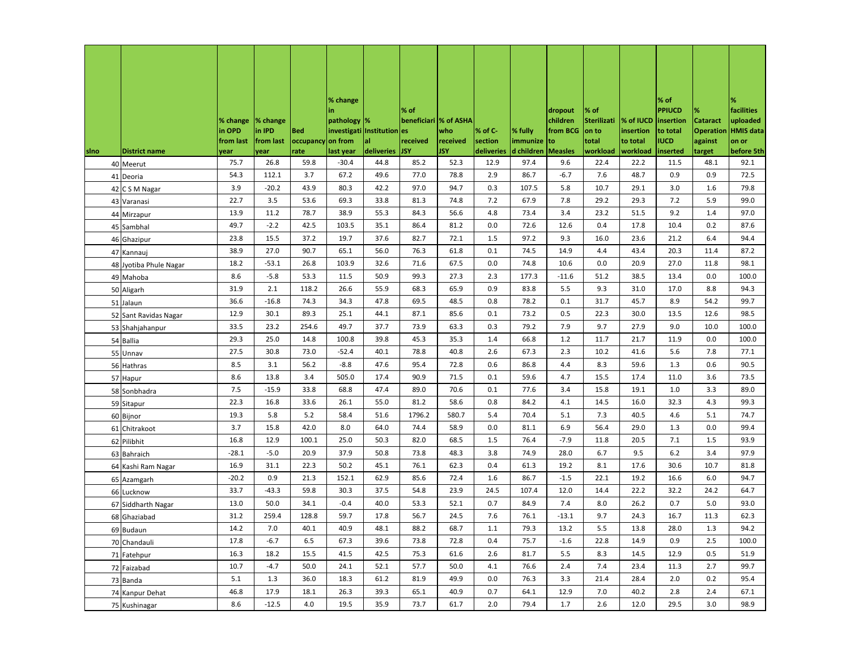|              |                       |                    |                    |                           | % change<br>in             |                  | ∣% of                  |                        |                       |                        | dropout              | % of                 |                        | $%$ of<br><b>PPIUCD</b> | %                            | %<br>facilities              |
|--------------|-----------------------|--------------------|--------------------|---------------------------|----------------------------|------------------|------------------------|------------------------|-----------------------|------------------------|----------------------|----------------------|------------------------|-------------------------|------------------------------|------------------------------|
|              |                       | % change<br>in OPD | % change<br>in IPD | Bed                       | pathology %<br>investigati | Institution es   | beneficiari  % of ASHA | who                    | % of C-               | % fully                | children<br>from BCG | Sterilizati<br>on to | % of IUCD<br>insertion | insertion<br>to total   | <b>Cataract</b><br>Operation | uploaded<br><b>HMIS</b> data |
| <b>s</b> lno | <b>District name</b>  | from last<br>year  | from last<br>year  | occupancy on from<br>rate | last year                  | al<br>deliveries | received<br><b>JSY</b> | received<br><b>JSY</b> | section<br>deliveries | immunize<br>d children | to<br><b>Measles</b> | total<br>workload    | to total<br>workload   | <b>IUCD</b><br>inserted | against<br>target            | on or<br>before 5th          |
|              | 40 Meerut             | 75.7               | 26.8               | 59.8                      | $-30.4$                    | 44.8             | 85.2                   | 52.3                   | 12.9                  | 97.4                   | 9.6                  | 22.4                 | 22.2                   | 11.5                    | 48.1                         | 92.1                         |
| 41           | Deoria                | 54.3               | 112.1              | 3.7                       | 67.2                       | 49.6             | 77.0                   | 78.8                   | 2.9                   | 86.7                   | $-6.7$               | 7.6                  | 48.7                   | 0.9                     | 0.9                          | 72.5                         |
|              | 42 C S M Nagar        | 3.9                | $-20.2$            | 43.9                      | 80.3                       | 42.2             | 97.0                   | 94.7                   | 0.3                   | 107.5                  | 5.8                  | 10.7                 | 29.1                   | 3.0                     | 1.6                          | 79.8                         |
|              | 43 Varanasi           | 22.7               | 3.5                | 53.6                      | 69.3                       | 33.8             | 81.3                   | 74.8                   | 7.2                   | 67.9                   | 7.8                  | 29.2                 | 29.3                   | 7.2                     | 5.9                          | 99.0                         |
|              | 44 Mirzapur           | 13.9               | 11.2               | 78.7                      | 38.9                       | 55.3             | 84.3                   | 56.6                   | 4.8                   | 73.4                   | 3.4                  | 23.2                 | 51.5                   | 9.2                     | 1.4                          | 97.0                         |
|              | 45 Sambhal            | 49.7               | $-2.2$             | 42.5                      | 103.5                      | 35.1             | 86.4                   | 81.2                   | 0.0                   | 72.6                   | 12.6                 | 0.4                  | 17.8                   | 10.4                    | 0.2                          | 87.6                         |
| 46           | Ghazipur              | 23.8               | 15.5               | 37.2                      | 19.7                       | 37.6             | 82.7                   | 72.1                   | 1.5                   | 97.2                   | 9.3                  | 16.0                 | 23.6                   | 21.2                    | 6.4                          | 94.4                         |
| 47           | Kannauj               | 38.9               | 27.0               | 90.7                      | 65.1                       | 56.0             | 76.3                   | 61.8                   | 0.1                   | 74.5                   | 14.9                 | 4.4                  | 43.4                   | 20.3                    | 11.4                         | 87.2                         |
| 48           | Jyotiba Phule Nagar   | 18.2               | $-53.1$            | 26.8                      | 103.9                      | 32.6             | 71.6                   | 67.5                   | 0.0                   | 74.8                   | 10.6                 | 0.0                  | 20.9                   | 27.0                    | 11.8                         | 98.1                         |
| 49           | Mahoba                | 8.6                | $-5.8$             | 53.3                      | 11.5                       | 50.9             | 99.3                   | 27.3                   | 2.3                   | 177.3                  | $-11.6$              | 51.2                 | 38.5                   | 13.4                    | 0.0                          | 100.0                        |
| 50           | Aligarh               | 31.9               | 2.1                | 118.2                     | 26.6                       | 55.9             | 68.3                   | 65.9                   | 0.9                   | 83.8                   | 5.5                  | 9.3                  | 31.0                   | 17.0                    | 8.8                          | 94.3                         |
|              | 51 Jalaun             | 36.6               | $-16.8$            | 74.3                      | 34.3                       | 47.8             | 69.5                   | 48.5                   | 0.8                   | 78.2                   | 0.1                  | 31.7                 | 45.7                   | 8.9                     | 54.2                         | 99.7                         |
|              | 52 Sant Ravidas Nagar | 12.9               | 30.1               | 89.3                      | 25.1                       | 44.1             | 87.1                   | 85.6                   | 0.1                   | 73.2                   | 0.5                  | 22.3                 | 30.0                   | 13.5                    | 12.6                         | 98.5                         |
|              | 53 Shahjahanpur       | 33.5               | 23.2               | 254.6                     | 49.7                       | 37.7             | 73.9                   | 63.3                   | 0.3                   | 79.2                   | 7.9                  | 9.7                  | 27.9                   | 9.0                     | 10.0                         | 100.0                        |
|              | 54 Ballia             | 29.3               | 25.0               | 14.8                      | 100.8                      | 39.8             | 45.3                   | 35.3                   | 1.4                   | 66.8                   | 1.2                  | 11.7                 | 21.7                   | 11.9                    | 0.0                          | 100.0                        |
|              | 55 Unnav              | 27.5               | 30.8               | 73.0                      | $-52.4$                    | 40.1             | 78.8                   | 40.8                   | 2.6                   | 67.3                   | 2.3                  | 10.2                 | 41.6                   | 5.6                     | 7.8                          | 77.1                         |
|              | 56 Hathras            | 8.5                | 3.1                | 56.2                      | $-8.8$                     | 47.6             | 95.4                   | 72.8                   | 0.6                   | 86.8                   | 4.4                  | 8.3                  | 59.6                   | 1.3                     | 0.6                          | 90.5                         |
|              | 57 Hapur              | 8.6                | 13.8               | 3.4                       | 505.0                      | 17.4             | 90.9                   | 71.5                   | 0.1                   | 59.6                   | 4.7                  | 15.5                 | 17.4                   | 11.0                    | 3.6                          | 73.5                         |
|              | 58 Sonbhadra          | 7.5                | $-15.9$            | 33.8                      | 68.8                       | 47.4             | 89.0                   | 70.6                   | 0.1                   | 77.6                   | 3.4                  | 15.8                 | 19.1                   | 1.0                     | 3.3                          | 89.0                         |
| 59           | Sitapur               | 22.3               | 16.8               | 33.6                      | 26.1                       | 55.0             | 81.2                   | 58.6                   | 0.8                   | 84.2                   | 4.1                  | 14.5                 | 16.0                   | 32.3                    | 4.3                          | 99.3                         |
| 60           | Bijnor                | 19.3               | 5.8                | 5.2                       | 58.4                       | 51.6             | 1796.2                 | 580.7                  | 5.4                   | 70.4                   | 5.1                  | 7.3                  | 40.5                   | 4.6                     | 5.1                          | 74.7                         |
| 61           | Chitrakoot            | 3.7                | 15.8               | 42.0                      | 8.0                        | 64.0             | 74.4                   | 58.9                   | 0.0                   | 81.1                   | 6.9                  | 56.4                 | 29.0                   | 1.3                     | 0.0                          | 99.4                         |
| 62           | Pilibhit              | 16.8               | 12.9               | 100.1                     | 25.0                       | 50.3             | 82.0                   | 68.5                   | 1.5                   | 76.4                   | $-7.9$               | 11.8                 | 20.5                   | 7.1                     | 1.5                          | 93.9                         |
| 63           | Bahraich              | $-28.1$            | $-5.0$             | 20.9                      | 37.9                       | 50.8             | 73.8                   | 48.3                   | 3.8                   | 74.9                   | 28.0                 | 6.7                  | 9.5                    | $6.2$                   | 3.4                          | 97.9                         |
| 64           | Kashi Ram Nagar       | 16.9               | 31.1               | 22.3                      | 50.2                       | 45.1             | 76.1                   | 62.3                   | 0.4                   | 61.3                   | 19.2                 | 8.1                  | 17.6                   | 30.6                    | 10.7                         | 81.8                         |
| 65           | Azamgarh              | $-20.2$            | 0.9                | 21.3                      | 152.1                      | 62.9             | 85.6                   | 72.4                   | 1.6                   | 86.7                   | $-1.5$               | 22.1                 | 19.2                   | 16.6                    | 6.0                          | 94.7                         |
| 66           | Lucknow               | 33.7               | $-43.3$            | 59.8                      | 30.3                       | 37.5             | 54.8                   | 23.9                   | 24.5                  | 107.4                  | 12.0                 | 14.4                 | 22.2                   | 32.2                    | 24.2                         | 64.7                         |
| 67           | Siddharth Nagar       | 13.0               | 50.0               | 34.1                      | $-0.4$                     | 40.0             | 53.3                   | 52.1                   | 0.7                   | 84.9                   | 7.4                  | 8.0                  | 26.2                   | 0.7                     | 5.0                          | 93.0                         |
|              | 68 Ghaziabad          | 31.2               | 259.4              | 128.8                     | 59.7                       | 17.8             | 56.7                   | 24.5                   | 7.6                   | 76.1                   | $-13.1$              | 9.7                  | 24.3                   | 16.7                    | 11.3                         | 62.3                         |
|              | 69 Budaun             | 14.2               | 7.0                | 40.1                      | 40.9                       | 48.1             | 88.2                   | 68.7                   | 1.1                   | 79.3                   | 13.2                 | 5.5                  | 13.8                   | 28.0                    | 1.3                          | 94.2                         |
|              | 70 Chandauli          | 17.8               | $-6.7$             | 6.5                       | 67.3                       | 39.6             | 73.8                   | 72.8                   | 0.4                   | 75.7                   | $-1.6$               | 22.8                 | 14.9                   | 0.9                     | 2.5                          | 100.0                        |
|              | 71 Fatehpur           | 16.3               | 18.2               | 15.5                      | 41.5                       | 42.5             | 75.3                   | 61.6                   | 2.6                   | 81.7                   | 5.5                  | 8.3                  | 14.5                   | 12.9                    | 0.5                          | 51.9                         |
|              | 72 Faizabad           | 10.7               | $-4.7$             | 50.0                      | 24.1                       | 52.1             | 57.7                   | 50.0                   | 4.1                   | 76.6                   | 2.4                  | 7.4                  | 23.4                   | 11.3                    | 2.7                          | 99.7                         |
|              | 73 Banda              | 5.1                | 1.3                | 36.0                      | 18.3                       | 61.2             | 81.9                   | 49.9                   | 0.0                   | 76.3                   | 3.3                  | 21.4                 | 28.4                   | 2.0                     | 0.2                          | 95.4                         |
|              | 74 Kanpur Dehat       | 46.8               | 17.9               | 18.1                      | 26.3                       | 39.3             | 65.1                   | 40.9                   | 0.7                   | 64.1                   | 12.9                 | 7.0                  | 40.2                   | 2.8                     | 2.4                          | 67.1                         |
|              | 75 Kushinagar         | 8.6                | $-12.5$            | 4.0                       | 19.5                       | 35.9             | 73.7                   | 61.7                   | 2.0                   | 79.4                   | 1.7                  | 2.6                  | 12.0                   | 29.5                    | 3.0                          | 98.9                         |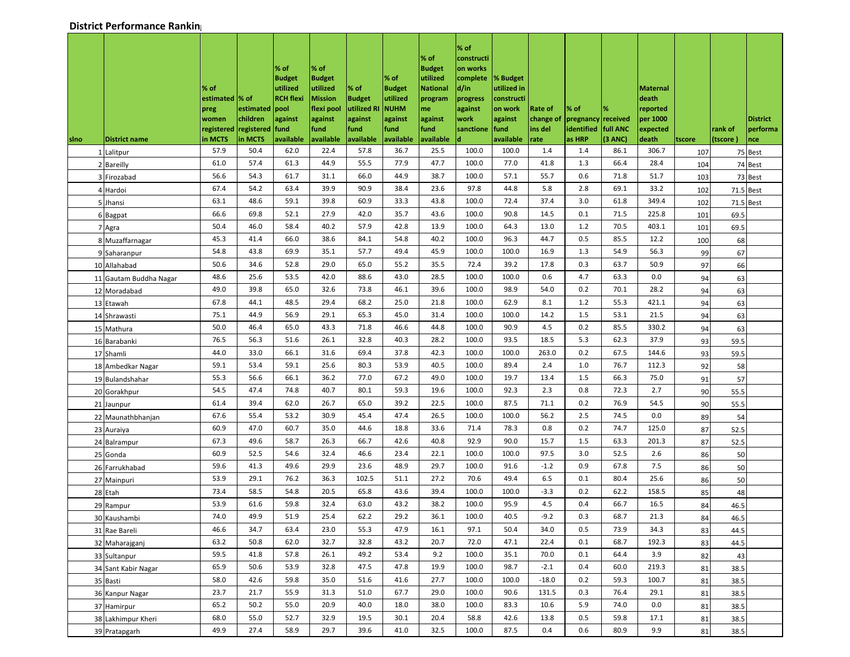| sino | <b>District name</b>   | % of<br>estimated  % of<br>preg<br>women<br>in MCTS | estimated<br>children<br>registered registered<br>in MCTS | % of<br><b>Budget</b><br>utilized<br><b>RCH flexi</b><br>pool<br>against<br>fund<br>available | % of<br><b>Budget</b><br>utilized<br><b>Mission</b><br>flexi pool<br>against<br>fund<br>available | % of<br><b>Budget</b><br>utilized R<br>against<br>fund<br>available | % of<br><b>Budget</b><br>utilized<br><b>NUHM</b><br>against<br>fund<br>available | % of<br><b>Budget</b><br>utilized<br><b>National</b><br>program<br>me<br>against<br>fund<br>available | % of<br>constructi<br>on works<br>complete<br>d/in<br>progress<br>against<br>work<br>sanctione | % Budget<br>utilized in<br>constructi<br>on work<br>against<br>fund<br><b>lavailable</b> | Rate of<br>change of<br>ins del<br>rate | % of<br>pregnancy received<br>identified<br>as HRP | full ANC<br>(3 ANC) | Maternal<br>death<br>reported<br>per 1000<br>expected<br>death | tscore | rank of<br>(tscore | <b>District</b><br>performa<br>nce |
|------|------------------------|-----------------------------------------------------|-----------------------------------------------------------|-----------------------------------------------------------------------------------------------|---------------------------------------------------------------------------------------------------|---------------------------------------------------------------------|----------------------------------------------------------------------------------|-------------------------------------------------------------------------------------------------------|------------------------------------------------------------------------------------------------|------------------------------------------------------------------------------------------|-----------------------------------------|----------------------------------------------------|---------------------|----------------------------------------------------------------|--------|--------------------|------------------------------------|
|      | 1 Lalitpur             | 57.9                                                | 50.4                                                      | 62.0                                                                                          | 22.4                                                                                              | 57.8                                                                | 36.7                                                                             | 25.5                                                                                                  | 100.0                                                                                          | 100.0                                                                                    | 1.4                                     | 1.4                                                | 86.1                | 306.7                                                          | 107    |                    | 75 Best                            |
|      | 2 Bareilly             | 61.0                                                | 57.4                                                      | 61.3                                                                                          | 44.9                                                                                              | 55.5                                                                | 77.9                                                                             | 47.7                                                                                                  | 100.0                                                                                          | 77.0                                                                                     | 41.8                                    | 1.3                                                | 66.4                | 28.4                                                           | 104    |                    | 74 Best                            |
|      | 3 Firozabad            | 56.6                                                | 54.3                                                      | 61.7                                                                                          | 31.1                                                                                              | 66.0                                                                | 44.9                                                                             | 38.7                                                                                                  | 100.0                                                                                          | 57.1                                                                                     | 55.7                                    | 0.6                                                | 71.8                | 51.7                                                           | 103    |                    | 73 Best                            |
|      | 4 Hardoi               | 67.4                                                | 54.2                                                      | 63.4                                                                                          | 39.9                                                                                              | 90.9                                                                | 38.4                                                                             | 23.6                                                                                                  | 97.8                                                                                           | 44.8                                                                                     | 5.8                                     | 2.8                                                | 69.1                | 33.2                                                           | 102    |                    | 71.5 Best                          |
|      | 5 Jhansi               | 63.1                                                | 48.6                                                      | 59.1                                                                                          | 39.8                                                                                              | 60.9                                                                | 33.3                                                                             | 43.8                                                                                                  | 100.0                                                                                          | 72.4                                                                                     | 37.4                                    | 3.0                                                | 61.8                | 349.4                                                          | 102    |                    | 71.5 Best                          |
|      | 6 Bagpat               | 66.6                                                | 69.8                                                      | 52.1                                                                                          | 27.9                                                                                              | 42.0                                                                | 35.7                                                                             | 43.6                                                                                                  | 100.0                                                                                          | 90.8                                                                                     | 14.5                                    | 0.1                                                | 71.5                | 225.8                                                          | 101    | 69.5               |                                    |
|      | 7 Agra                 | 50.4                                                | 46.0                                                      | 58.4                                                                                          | 40.2                                                                                              | 57.9                                                                | 42.8                                                                             | 13.9                                                                                                  | 100.0                                                                                          | 64.3                                                                                     | 13.0                                    | 1.2                                                | 70.5                | 403.1                                                          | 101    | 69.5               |                                    |
|      | 8 Muzaffarnagar        | 45.3                                                | 41.4                                                      | 66.0                                                                                          | 38.6                                                                                              | 84.1                                                                | 54.8                                                                             | 40.2                                                                                                  | 100.0                                                                                          | 96.3                                                                                     | 44.7                                    | 0.5                                                | 85.5                | 12.2                                                           | 100    | 68                 |                                    |
|      | 9 Saharanpur           | 54.8                                                | 43.8                                                      | 69.9                                                                                          | 35.1                                                                                              | 57.7                                                                | 49.4                                                                             | 45.9                                                                                                  | 100.0                                                                                          | 100.0                                                                                    | 16.9                                    | 1.3                                                | 54.9                | 56.3                                                           | 99     | 67                 |                                    |
|      | 10 Allahabad           | 50.6                                                | 34.6                                                      | 52.8                                                                                          | 29.0                                                                                              | 65.0                                                                | 55.2                                                                             | 35.5                                                                                                  | 72.4                                                                                           | 39.2                                                                                     | 17.8                                    | 0.3                                                | 63.7                | 50.9                                                           | 97     | 66                 |                                    |
|      | 11 Gautam Buddha Nagar | 48.6                                                | 25.6                                                      | 53.5                                                                                          | 42.0                                                                                              | 88.6                                                                | 43.0                                                                             | 28.5                                                                                                  | 100.0                                                                                          | 100.0                                                                                    | 0.6                                     | 4.7                                                | 63.3                | 0.0                                                            | 94     | 63                 |                                    |
|      | 12 Moradabad           | 49.0                                                | 39.8                                                      | 65.0                                                                                          | 32.6                                                                                              | 73.8                                                                | 46.1                                                                             | 39.6                                                                                                  | 100.0                                                                                          | 98.9                                                                                     | 54.0                                    | 0.2                                                | 70.1                | 28.2                                                           | 94     | 63                 |                                    |
|      | 13 Etawah              | 67.8                                                | 44.1                                                      | 48.5                                                                                          | 29.4                                                                                              | 68.2                                                                | 25.0                                                                             | 21.8                                                                                                  | 100.0                                                                                          | 62.9                                                                                     | 8.1                                     | 1.2                                                | 55.3                | 421.1                                                          | 94     | 63                 |                                    |
|      | 14 Shrawasti           | 75.1                                                | 44.9                                                      | 56.9                                                                                          | 29.1                                                                                              | 65.3                                                                | 45.0                                                                             | 31.4                                                                                                  | 100.0                                                                                          | 100.0                                                                                    | 14.2                                    | 1.5                                                | 53.1                | 21.5                                                           | 94     | 63                 |                                    |
|      | 15 Mathura             | 50.0                                                | 46.4                                                      | 65.0                                                                                          | 43.3                                                                                              | 71.8                                                                | 46.6                                                                             | 44.8                                                                                                  | 100.0                                                                                          | 90.9                                                                                     | 4.5                                     | 0.2                                                | 85.5                | 330.2                                                          | 94     | 63                 |                                    |
|      | 16 Barabanki           | 76.5                                                | 56.3                                                      | 51.6                                                                                          | 26.1                                                                                              | 32.8                                                                | 40.3                                                                             | 28.2                                                                                                  | 100.0                                                                                          | 93.5                                                                                     | 18.5                                    | 5.3                                                | 62.3                | 37.9                                                           | 93     | 59.5               |                                    |
|      | 17 Shamli              | 44.0                                                | 33.0                                                      | 66.1                                                                                          | 31.6                                                                                              | 69.4                                                                | 37.8                                                                             | 42.3                                                                                                  | 100.0                                                                                          | 100.0                                                                                    | 263.0                                   | 0.2                                                | 67.5                | 144.6                                                          | 93     | 59.5               |                                    |
|      | 18 Ambedkar Nagar      | 59.1                                                | 53.4                                                      | 59.1                                                                                          | 25.6                                                                                              | 80.3                                                                | 53.9                                                                             | 40.5                                                                                                  | 100.0                                                                                          | 89.4                                                                                     | 2.4                                     | 1.0                                                | 76.7                | 112.3                                                          | 92     | 58                 |                                    |
|      | 19 Bulandshahar        | 55.3                                                | 56.6                                                      | 66.1                                                                                          | 36.2                                                                                              | 77.0                                                                | 67.2                                                                             | 49.0                                                                                                  | 100.0                                                                                          | 19.7                                                                                     | 13.4                                    | 1.5                                                | 66.3                | 75.0                                                           | 91     | 57                 |                                    |
|      | 20 Gorakhpur           | 54.5                                                | 47.4                                                      | 74.8                                                                                          | 40.7                                                                                              | 80.1                                                                | 59.3                                                                             | 19.6                                                                                                  | 100.0                                                                                          | 92.3                                                                                     | 2.3                                     | 0.8                                                | 72.3                | 2.7                                                            | 90     | 55.5               |                                    |
|      | 21 Jaunpur             | 61.4                                                | 39.4                                                      | 62.0                                                                                          | 26.7                                                                                              | 65.0                                                                | 39.2                                                                             | 22.5                                                                                                  | 100.0                                                                                          | 87.5                                                                                     | 71.1                                    | 0.2                                                | 76.9                | 54.5                                                           | 90     | 55.5               |                                    |
|      | 22 Maunathbhanjan      | 67.6                                                | 55.4                                                      | 53.2                                                                                          | 30.9                                                                                              | 45.4                                                                | 47.4                                                                             | 26.5                                                                                                  | 100.0                                                                                          | 100.0                                                                                    | 56.2                                    | 2.5                                                | 74.5                | 0.0                                                            | 89     | 54                 |                                    |
|      | 23 Auraiya             | 60.9                                                | 47.0                                                      | 60.7                                                                                          | 35.0                                                                                              | 44.6                                                                | 18.8                                                                             | 33.6                                                                                                  | 71.4                                                                                           | 78.3                                                                                     | 0.8                                     | 0.2                                                | 74.7                | 125.0                                                          | 87     | 52.5               |                                    |
|      | 24 Balrampur           | 67.3                                                | 49.6                                                      | 58.7                                                                                          | 26.3                                                                                              | 66.7                                                                | 42.6                                                                             | 40.8                                                                                                  | 92.9                                                                                           | 90.0                                                                                     | 15.7                                    | 1.5                                                | 63.3                | 201.3                                                          | 87     | 52.5               |                                    |
|      | 25 Gonda               | 60.9                                                | 52.5                                                      | 54.6                                                                                          | 32.4                                                                                              | 46.6                                                                | 23.4                                                                             | 22.1                                                                                                  | 100.0                                                                                          | 100.0                                                                                    | 97.5                                    | 3.0                                                | 52.5                | 2.6                                                            | 86     | 50                 |                                    |
|      | 26 Farrukhabad         | 59.6                                                | 41.3                                                      | 49.6                                                                                          | 29.9                                                                                              | 23.6                                                                | 48.9                                                                             | 29.7                                                                                                  | 100.0                                                                                          | 91.6                                                                                     | $-1.2$                                  | 0.9                                                | 67.8                | 7.5                                                            | 86     | 50                 |                                    |
|      | 27 Mainpuri            | 53.9                                                | 29.1                                                      | 76.2                                                                                          | 36.3                                                                                              | 102.5                                                               | 51.1                                                                             | 27.2                                                                                                  | 70.6                                                                                           | 49.4                                                                                     | 6.5                                     | 0.1                                                | 80.4                | 25.6                                                           | 86     | 50                 |                                    |
|      | 28 Etah                | 73.4                                                | 58.5                                                      | 54.8                                                                                          | 20.5                                                                                              | 65.8                                                                | 43.6                                                                             | 39.4                                                                                                  | 100.0                                                                                          | 100.0                                                                                    | $-3.3$                                  | 0.2                                                | 62.2                | 158.5                                                          | 85     | 48                 |                                    |
|      | 29 Rampur              | 53.9                                                | 61.6                                                      | 59.8                                                                                          | 32.4                                                                                              | 63.0                                                                | 43.2                                                                             | 38.2                                                                                                  | 100.0                                                                                          | 95.9                                                                                     | 4.5                                     | 0.4                                                | 66.7                | 16.5                                                           | 84     | 46.5               |                                    |
|      | 30 Kaushambi           | 74.0                                                | 49.9                                                      | 51.9                                                                                          | 25.4                                                                                              | 62.2                                                                | 29.2                                                                             | 36.1                                                                                                  | 100.0                                                                                          | 40.5                                                                                     | $-9.2$                                  | 0.3                                                | 68.7                | 21.3                                                           | 84     | 46.5               |                                    |
|      | 31 Rae Bareli          | 46.6                                                | 34.7                                                      | 63.4                                                                                          | 23.0                                                                                              | 55.3                                                                | 47.9                                                                             | 16.1                                                                                                  | 97.1                                                                                           | 50.4                                                                                     | 34.0                                    | 0.5                                                | 73.9                | 34.3                                                           | 83     | 44.5               |                                    |
|      | 32 Maharajgani         | 63.2                                                | 50.8                                                      | 62.0                                                                                          | 32.7                                                                                              | 32.8                                                                | 43.2                                                                             | 20.7                                                                                                  | 72.0                                                                                           | 47.1                                                                                     | 22.4                                    | 0.1                                                | 68.7                | 192.3                                                          | 83     | 44.5               |                                    |
|      | 33 Sultanpur           | 59.5                                                | 41.8                                                      | 57.8                                                                                          | 26.1                                                                                              | 49.2                                                                | 53.4                                                                             | 9.2                                                                                                   | 100.0                                                                                          | 35.1                                                                                     | 70.0                                    | 0.1                                                | 64.4                | 3.9                                                            | 82     | 43                 |                                    |
|      | 34 Sant Kabir Nagar    | 65.9                                                | 50.6                                                      | 53.9                                                                                          | 32.8                                                                                              | 47.5                                                                | 47.8                                                                             | 19.9                                                                                                  | 100.0                                                                                          | 98.7                                                                                     | $-2.1$                                  | 0.4                                                | 60.0                | 219.3                                                          | 81     | 38.5               |                                    |
|      | 35 Basti               | 58.0                                                | 42.6                                                      | 59.8                                                                                          | 35.0                                                                                              | 51.6                                                                | 41.6                                                                             | 27.7                                                                                                  | 100.0                                                                                          | 100.0                                                                                    | $-18.0$                                 | 0.2                                                | 59.3                | 100.7                                                          | 81     | 38.5               |                                    |
|      | 36 Kanpur Nagar        | 23.7                                                | 21.7                                                      | 55.9                                                                                          | 31.3                                                                                              | 51.0                                                                | 67.7                                                                             | 29.0                                                                                                  | 100.0                                                                                          | 90.6                                                                                     | 131.5                                   | 0.3                                                | 76.4                | 29.1                                                           | 81     | 38.5               |                                    |
|      | 37 Hamirpur            | 65.2                                                | 50.2                                                      | 55.0                                                                                          | 20.9                                                                                              | 40.0                                                                | 18.0                                                                             | 38.0                                                                                                  | 100.0                                                                                          | 83.3                                                                                     | 10.6                                    | 5.9                                                | 74.0                | 0.0                                                            | 81     | 38.5               |                                    |
|      | 38 Lakhimpur Kheri     | 68.0                                                | 55.0                                                      | 52.7                                                                                          | 32.9                                                                                              | 19.5                                                                | 30.1                                                                             | 20.4                                                                                                  | 58.8                                                                                           | 42.6                                                                                     | 13.8                                    | 0.5                                                | 59.8                | 17.1                                                           | 81     | 38.5               |                                    |
|      | 39 Pratapgarh          | 49.9                                                | 27.4                                                      | 58.9                                                                                          | 29.7                                                                                              | 39.6                                                                | 41.0                                                                             | 32.5                                                                                                  | 100.0                                                                                          | 87.5                                                                                     | 0.4                                     | 0.6                                                | 80.9                | 9.9                                                            | 81     | 38.5               |                                    |